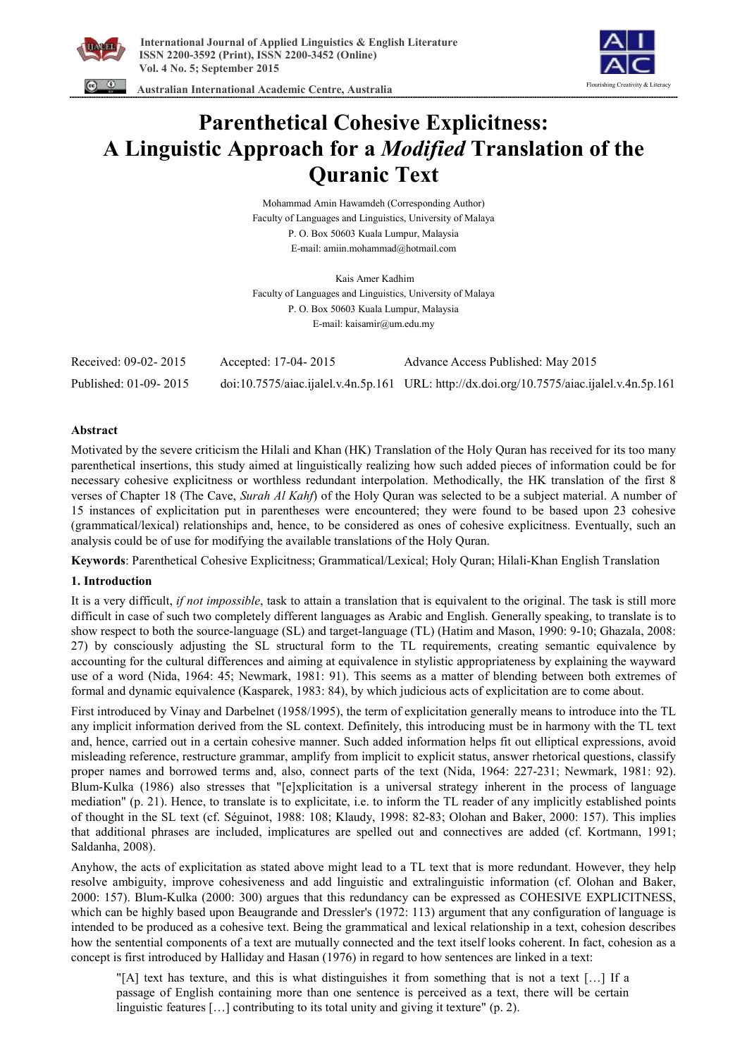



 **Australian International Academic Centre, Australia** 

# **Parenthetical Cohesive Explicitness: A Linguistic Approach for a** *Modified* **Translation of the Quranic Text**

Mohammad Amin Hawamdeh (Corresponding Author) Faculty of Languages and Linguistics, University of Malaya P. O. Box 50603 Kuala Lumpur, Malaysia E-mail: amiin.mohammad@hotmail.com

Kais Amer Kadhim Faculty of Languages and Linguistics, University of Malaya P. O. Box 50603 Kuala Lumpur, Malaysia E-mail: kaisamir@um.edu.my

| Received: 09-02-2015  | Accepted: 17-04-2015 | Advance Access Published: May 2015                                                         |
|-----------------------|----------------------|--------------------------------------------------------------------------------------------|
| Published: 01-09-2015 |                      | doi:10.7575/aiac.ijalel.v.4n.5p.161 URL: http://dx.doi.org/10.7575/aiac.ijalel.v.4n.5p.161 |

## **Abstract**

Motivated by the severe criticism the Hilali and Khan (HK) Translation of the Holy Quran has received for its too many parenthetical insertions, this study aimed at linguistically realizing how such added pieces of information could be for necessary cohesive explicitness or worthless redundant interpolation. Methodically, the HK translation of the first 8 verses of Chapter 18 (The Cave, *Surah Al Kahf*) of the Holy Quran was selected to be a subject material. A number of 15 instances of explicitation put in parentheses were encountered; they were found to be based upon 23 cohesive (grammatical/lexical) relationships and, hence, to be considered as ones of cohesive explicitness. Eventually, such an analysis could be of use for modifying the available translations of the Holy Quran.

**Keywords**: Parenthetical Cohesive Explicitness; Grammatical/Lexical; Holy Quran; Hilali-Khan English Translation

# **1. Introduction**

It is a very difficult, *if not impossible*, task to attain a translation that is equivalent to the original. The task is still more difficult in case of such two completely different languages as Arabic and English. Generally speaking, to translate is to show respect to both the source-language (SL) and target-language (TL) (Hatim and Mason, 1990: 9-10; Ghazala, 2008: 27) by consciously adjusting the SL structural form to the TL requirements, creating semantic equivalence by accounting for the cultural differences and aiming at equivalence in stylistic appropriateness by explaining the wayward use of a word (Nida, 1964: 45; Newmark, 1981: 91). This seems as a matter of blending between both extremes of formal and dynamic equivalence (Kasparek, 1983: 84), by which judicious acts of explicitation are to come about.

First introduced by Vinay and Darbelnet (1958/1995), the term of explicitation generally means to introduce into the TL any implicit information derived from the SL context. Definitely, this introducing must be in harmony with the TL text and, hence, carried out in a certain cohesive manner. Such added information helps fit out elliptical expressions, avoid misleading reference, restructure grammar, amplify from implicit to explicit status, answer rhetorical questions, classify proper names and borrowed terms and, also, connect parts of the text (Nida, 1964: 227-231; Newmark, 1981: 92). Blum-Kulka (1986) also stresses that "[e]xplicitation is a universal strategy inherent in the process of language mediation" (p. 21). Hence, to translate is to explicitate, i.e. to inform the TL reader of any implicitly established points of thought in the SL text (cf. Séguinot, 1988: 108; Klaudy, 1998: 82-83; Olohan and Baker, 2000: 157). This implies that additional phrases are included, implicatures are spelled out and connectives are added (cf. Kortmann, 1991; Saldanha, 2008).

Anyhow, the acts of explicitation as stated above might lead to a TL text that is more redundant. However, they help resolve ambiguity, improve cohesiveness and add linguistic and extralinguistic information (cf. Olohan and Baker, 2000: 157). Blum-Kulka (2000: 300) argues that this redundancy can be expressed as COHESIVE EXPLICITNESS, which can be highly based upon Beaugrande and Dressler's (1972: 113) argument that any configuration of language is intended to be produced as a cohesive text. Being the grammatical and lexical relationship in a text, cohesion describes how the sentential components of a text are mutually connected and the text itself looks coherent. In fact, cohesion as a concept is first introduced by Halliday and Hasan (1976) in regard to how sentences are linked in a text:

"[A] text has texture, and this is what distinguishes it from something that is not a text […] If a passage of English containing more than one sentence is perceived as a text, there will be certain linguistic features […] contributing to its total unity and giving it texture" (p. 2).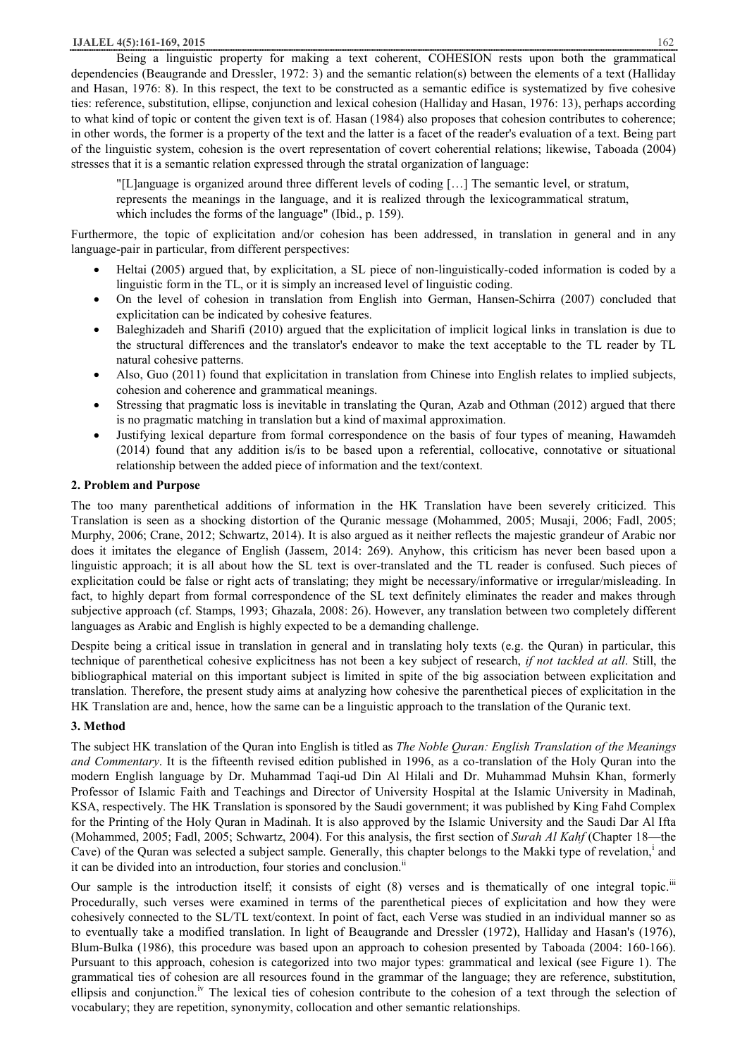#### **IJALEL 4(5):161-169, 2015** 162

Being a linguistic property for making a text coherent, COHESION rests upon both the grammatical dependencies (Beaugrande and Dressler, 1972: 3) and the semantic relation(s) between the elements of a text (Halliday and Hasan, 1976: 8). In this respect, the text to be constructed as a semantic edifice is systematized by five cohesive ties: reference, substitution, ellipse, conjunction and lexical cohesion (Halliday and Hasan, 1976: 13), perhaps according to what kind of topic or content the given text is of. Hasan (1984) also proposes that cohesion contributes to coherence; in other words, the former is a property of the text and the latter is a facet of the reader's evaluation of a text. Being part of the linguistic system, cohesion is the overt representation of covert coherential relations; likewise, Taboada (2004) stresses that it is a semantic relation expressed through the stratal organization of language:

"[L]anguage is organized around three different levels of coding […] The semantic level, or stratum, represents the meanings in the language, and it is realized through the lexicogrammatical stratum, which includes the forms of the language" (Ibid., p. 159).

Furthermore, the topic of explicitation and/or cohesion has been addressed, in translation in general and in any language-pair in particular, from different perspectives:

- Heltai (2005) argued that, by explicitation, a SL piece of non-linguistically-coded information is coded by a linguistic form in the TL, or it is simply an increased level of linguistic coding.
- · On the level of cohesion in translation from English into German, Hansen-Schirra (2007) concluded that explicitation can be indicated by cohesive features.
- · Baleghizadeh and Sharifi (2010) argued that the explicitation of implicit logical links in translation is due to the structural differences and the translator's endeavor to make the text acceptable to the TL reader by TL natural cohesive patterns.
- Also, Guo (2011) found that explicitation in translation from Chinese into English relates to implied subjects, cohesion and coherence and grammatical meanings.
- Stressing that pragmatic loss is inevitable in translating the Quran, Azab and Othman (2012) argued that there is no pragmatic matching in translation but a kind of maximal approximation.
- Justifying lexical departure from formal correspondence on the basis of four types of meaning, Hawamdeh (2014) found that any addition is/is to be based upon a referential, collocative, connotative or situational relationship between the added piece of information and the text/context.

#### **2. Problem and Purpose**

The too many parenthetical additions of information in the HK Translation have been severely criticized. This Translation is seen as a shocking distortion of the Quranic message (Mohammed, 2005; Musaji, 2006; Fadl, 2005; Murphy, 2006; Crane, 2012; Schwartz, 2014). It is also argued as it neither reflects the majestic grandeur of Arabic nor does it imitates the elegance of English (Jassem, 2014: 269). Anyhow, this criticism has never been based upon a linguistic approach; it is all about how the SL text is over-translated and the TL reader is confused. Such pieces of explicitation could be false or right acts of translating; they might be necessary/informative or irregular/misleading. In fact, to highly depart from formal correspondence of the SL text definitely eliminates the reader and makes through subjective approach (cf. Stamps, 1993; Ghazala, 2008: 26). However, any translation between two completely different languages as Arabic and English is highly expected to be a demanding challenge.

Despite being a critical issue in translation in general and in translating holy texts (e.g. the Quran) in particular, this technique of parenthetical cohesive explicitness has not been a key subject of research, *if not tackled at all*. Still, the bibliographical material on this important subject is limited in spite of the big association between explicitation and translation. Therefore, the present study aims at analyzing how cohesive the parenthetical pieces of explicitation in the HK Translation are and, hence, how the same can be a linguistic approach to the translation of the Quranic text.

# **3. Method**

The subject HK translation of the Quran into English is titled as *The Noble Quran: English Translation of the Meanings and Commentary*. It is the fifteenth revised edition published in 1996, as a co-translation of the Holy Quran into the modern English language by Dr. Muhammad Taqi-ud Din Al Hilali and Dr. Muhammad Muhsin Khan, formerly Professor of Islamic Faith and Teachings and Director of University Hospital at the Islamic University in Madinah, KSA, respectively. The HK Translation is sponsored by the Saudi government; it was published by King Fahd Complex for the Printing of the Holy Quran in Madinah. It is also approved by the Islamic University and the Saudi Dar Al Ifta (Mohammed, 2005; Fadl, 2005; Schwartz, 2004). For this analysis, the first section of *Surah Al Kahf* (Chapter 18—the Cave) of the Quran was selected a subject sample. Generally, this chapter belongs to the Makki type of revelation,<sup>1</sup> and it can be divided into an introduction, four stories and conclusion.<sup>ii</sup>

Our sample is the introduction itself; it consists of eight (8) verses and is thematically of one integral topic.<sup>iii</sup> Procedurally, such verses were examined in terms of the parenthetical pieces of explicitation and how they were cohesively connected to the SL/TL text/context. In point of fact, each Verse was studied in an individual manner so as to eventually take a modified translation. In light of Beaugrande and Dressler (1972), Halliday and Hasan's (1976), Blum-Bulka (1986), this procedure was based upon an approach to cohesion presented by Taboada (2004: 160-166). Pursuant to this approach, cohesion is categorized into two major types: grammatical and lexical (see Figure 1). The grammatical ties of cohesion are all resources found in the grammar of the language; they are reference, substitution, ellipsis and conjunction.<sup> $\nu$ </sup> The lexical ties of cohesion contribute to the cohesion of a text through the selection of vocabulary; they are repetition, synonymity, collocation and other semantic relationships.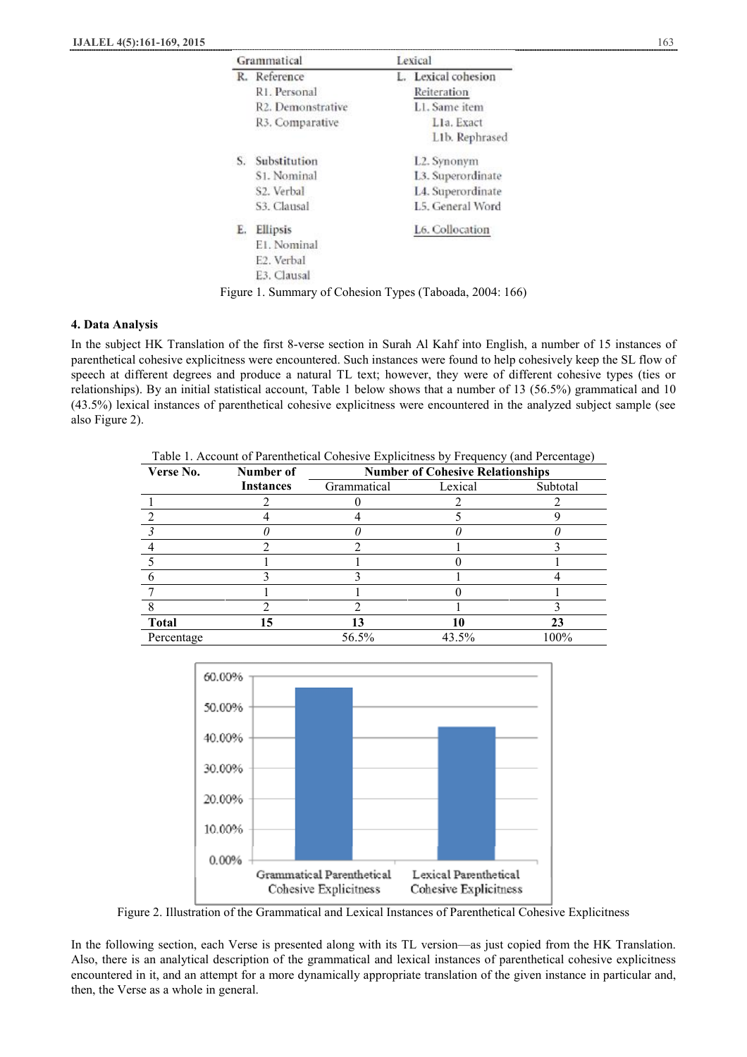|    | Grammatical                                              | Lexical             |
|----|----------------------------------------------------------|---------------------|
|    | R. Reference                                             | L. Lexical cohesion |
|    | R1. Personal                                             | Reiteration         |
|    | R2. Demonstrative                                        | L1. Same item       |
|    | R3. Comparative                                          | Lla. Exact          |
|    |                                                          | L1b. Rephrased      |
| S. | Substitution                                             | L2. Synonym         |
|    | S <sub>1</sub> . Nominal                                 | L3. Superordinate   |
|    | S2. Verbal                                               | L4. Superordinate   |
|    | S3. Clausal                                              | L5. General Word    |
| Е. | Ellipsis                                                 | L6. Collocation     |
|    | E1. Nominal                                              |                     |
|    | E <sub>2</sub> . Verbal                                  |                     |
|    | E3. Clausal                                              |                     |
|    | Figure 1. Summary of Cohesion Types (Taboada, 2004: 166) |                     |

## **4. Data Analysis**

In the subject HK Translation of the first 8-verse section in Surah Al Kahf into English, a number of 15 instances of parenthetical cohesive explicitness were encountered. Such instances were found to help cohesively keep the SL flow of speech at different degrees and produce a natural TL text; however, they were of different cohesive types (ties or relationships). By an initial statistical account, Table 1 below shows that a number of 13 (56.5%) grammatical and 10 (43.5%) lexical instances of parenthetical cohesive explicitness were encountered in the analyzed subject sample (see also Figure 2).

Table 1. Account of Parenthetical Cohesive Explicitness by Frequency (and Percentage)

| Verse No.    | Number of        | <b>Number of Cohesive Relationships</b> |         |          |  |
|--------------|------------------|-----------------------------------------|---------|----------|--|
|              | <b>Instances</b> | Grammatical                             | Lexical | Subtotal |  |
|              |                  |                                         |         |          |  |
|              |                  |                                         |         |          |  |
|              |                  |                                         |         |          |  |
|              |                  |                                         |         |          |  |
|              |                  |                                         |         |          |  |
|              |                  |                                         |         |          |  |
|              |                  |                                         |         |          |  |
|              |                  |                                         |         |          |  |
| <b>Total</b> | 15               |                                         |         | 23       |  |
| Percentage   |                  | 56.5%                                   | 43.5%   | 100%     |  |



Figure 2. Illustration of the Grammatical and Lexical Instances of Parenthetical Cohesive Explicitness

In the following section, each Verse is presented along with its TL version—as just copied from the HK Translation. Also, there is an analytical description of the grammatical and lexical instances of parenthetical cohesive explicitness encountered in it, and an attempt for a more dynamically appropriate translation of the given instance in particular and, then, the Verse as a whole in general.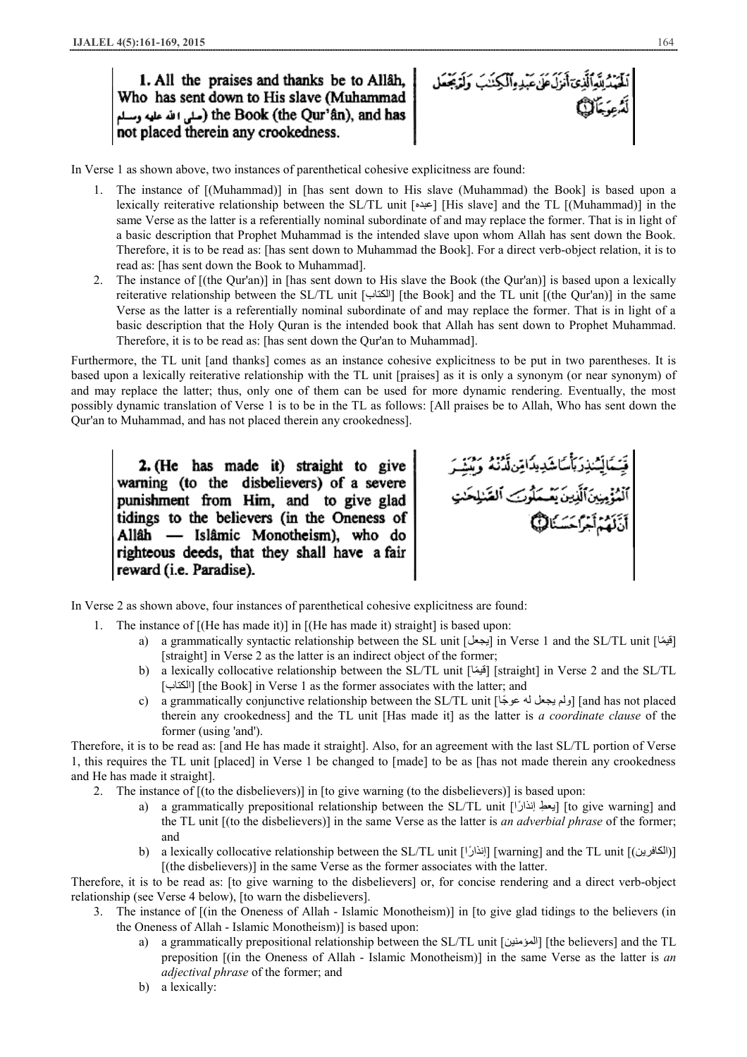1. All the praises and thanks be to Allâh. Who has sent down to His slave (Muhammad the Book (the Qur'ân), and has (مثل الله عليه وسلم not placed therein any crookedness.

لْحَمْدُلِلَّهِٱلَّذِىٓأَمَرَلَ عَلَىٰ عَبْدِهِٱلْكِنَـٰبَ وَلَوْبَحْمَل

In Verse 1 as shown above, two instances of parenthetical cohesive explicitness are found:

- 1. The instance of [(Muhammad)] in [has sent down to His slave (Muhammad) the Book] is based upon a lexically reiterative relationship between the SL/TL unit [عبده] [His slave] and the TL [(Muhammad)] in the same Verse as the latter is a referentially nominal subordinate of and may replace the former. That is in light of a basic description that Prophet Muhammad is the intended slave upon whom Allah has sent down the Book. Therefore, it is to be read as: [has sent down to Muhammad the Book]. For a direct verb-object relation, it is to read as: [has sent down the Book to Muhammad].
- 2. The instance of [(the Qur'an)] in [has sent down to His slave the Book (the Qur'an)] is based upon a lexically reiterative relationship between the SL/TL unit [الكتاب] [the Book] and the TL unit [(the Qur'an)] in the same Verse as the latter is a referentially nominal subordinate of and may replace the former. That is in light of a basic description that the Holy Quran is the intended book that Allah has sent down to Prophet Muhammad. Therefore, it is to be read as: [has sent down the Qur'an to Muhammad].

Furthermore, the TL unit [and thanks] comes as an instance cohesive explicitness to be put in two parentheses. It is based upon a lexically reiterative relationship with the TL unit [praises] as it is only a synonym (or near synonym) of and may replace the latter; thus, only one of them can be used for more dynamic rendering. Eventually, the most possibly dynamic translation of Verse 1 is to be in the TL as follows: [All praises be to Allah, Who has sent down the Qur'an to Muhammad, and has not placed therein any crookedness].

2. (He has made it) straight to give warning (to the disbelievers) of a severe punishment from Him, and to give glad tidings to the believers (in the Oneness of Allâh — Islâmic Monotheism), who do righteous deeds, that they shall have a fair reward (i.e. Paradise).

In Verse 2 as shown above, four instances of parenthetical cohesive explicitness are found:

- 1. The instance of [(He has made it)] in [(He has made it) straight] is based upon:
	- a) a grammatically syntactic relationship between the SL unit [ایجعل] in Verse 1 and the SL/TL unit [آقیمًا] [straight] in Verse 2 as the latter is an indirect object of the former;
	- b) a lexically collocative relationship between the SL/TL unit [أقيشاً] [straight] in Verse 2 and the SL/TL [الكتاب] [the Book] in Verse 1 as the former associates with the latter; and
	- c) a grammatically conjunctive relationship between the SL/TL unit [عوجا ً لھ یجعل ولم] [and has not placed therein any crookedness] and the TL unit [Has made it] as the latter is *a coordinate clause* of the former (using 'and').

Therefore, it is to be read as: [and He has made it straight]. Also, for an agreement with the last SL/TL portion of Verse 1, this requires the TL unit [placed] in Verse 1 be changed to [made] to be as [has not made therein any crookedness and He has made it straight].

- 2. The instance of [(to the disbelievers)] in [to give warning (to the disbelievers)] is based upon:
	- a) a grammatically prepositional relationship between the SL/TL unit [ $\beta$ ] [to give warning] and the TL unit [(to the disbelievers)] in the same Verse as the latter is *an adverbial phrase* of the former; and
	- b) a lexically collocative relationship between the SL/TL unit [[إنذارًا] [warning] and the TL unit [(الكافرين)] [(the disbelievers)] in the same Verse as the former associates with the latter.

Therefore, it is to be read as: [to give warning to the disbelievers] or, for concise rendering and a direct verb-object relationship (see Verse 4 below), [to warn the disbelievers].

- 3. The instance of [(in the Oneness of Allah Islamic Monotheism)] in [to give glad tidings to the believers (in the Oneness of Allah - Islamic Monotheism)] is based upon:
	- a) a grammatically prepositional relationship between the SL/TL unit [المؤمنین] [the believers] and the TL preposition [(in the Oneness of Allah - Islamic Monotheism)] in the same Verse as the latter is *an adjectival phrase* of the former; and
	- b) a lexically: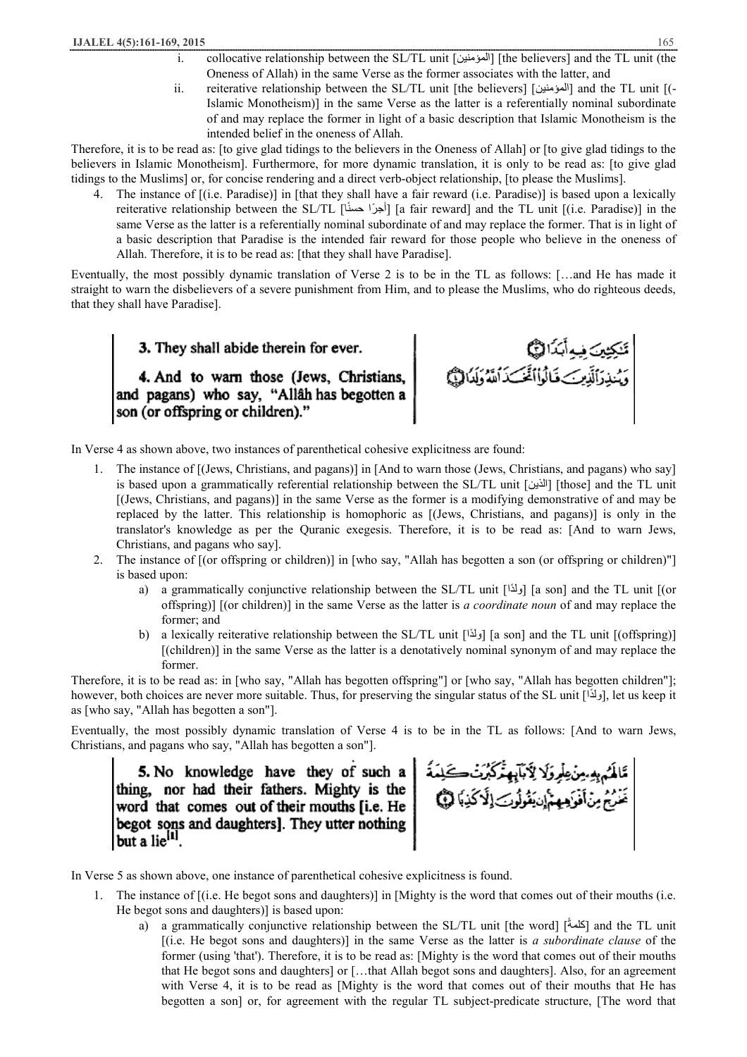- i. collocative relationship between the SL/TL unit [المؤمنین] [the believers] and the TL unit (the Oneness of Allah) in the same Verse as the former associates with the latter, and
- ii. reiterative relationship between the SL/TL unit [the believers] [المؤمنين] and the TL unit [(-Islamic Monotheism)] in the same Verse as the latter is a referentially nominal subordinate of and may replace the former in light of a basic description that Islamic Monotheism is the intended belief in the oneness of Allah.

Therefore, it is to be read as: [to give glad tidings to the believers in the Oneness of Allah] or [to give glad tidings to the believers in Islamic Monotheism]. Furthermore, for more dynamic translation, it is only to be read as: [to give glad tidings to the Muslims] or, for concise rendering and a direct verb-object relationship, [to please the Muslims].

4. The instance of [(i.e. Paradise)] in [that they shall have a fair reward (i.e. Paradise)] is based upon a lexically reiterative relationship between the SL/TL [أجرًا حسنًا] [a fair reward] and the TL unit [(i.e. Paradise)] in the same Verse as the latter is a referentially nominal subordinate of and may replace the former. That is in light of a basic description that Paradise is the intended fair reward for those people who believe in the oneness of Allah. Therefore, it is to be read as: [that they shall have Paradise].

Eventually, the most possibly dynamic translation of Verse 2 is to be in the TL as follows: […and He has made it straight to warn the disbelievers of a severe punishment from Him, and to please the Muslims, who do righteous deeds, that they shall have Paradise].

3. They shall abide therein for ever.

4. And to warn those (Jews, Christians, and pagans) who say, "Allâh has begotten a son (or offspring or children)."

تَنكِيْينَ فِيهِ أَبَدًا لِنَبَيُّمَا<br>وَيُسْذِرَأَلَذِينَ>فَالُواْأَغَّبَ\$َ اَسَّةُ وَلَدَالِيُّهَا

In Verse 4 as shown above, two instances of parenthetical cohesive explicitness are found:

- 1. The instance of [(Jews, Christians, and pagans)] in [And to warn those (Jews, Christians, and pagans) who say] is based upon a grammatically referential relationship between the SL/TL unit [الذین] [those] and the TL unit [(Jews, Christians, and pagans)] in the same Verse as the former is a modifying demonstrative of and may be replaced by the latter. This relationship is homophoric as [(Jews, Christians, and pagans)] is only in the translator's knowledge as per the Quranic exegesis. Therefore, it is to be read as: [And to warn Jews, Christians, and pagans who say].
- 2. The instance of [(or offspring or children)] in [who say, "Allah has begotten a son (or offspring or children)"] is based upon:
	- a) a grammatically conjunctive relationship between the SL/TL unit [ $\alpha$ ] [a son] and the TL unit [(or offspring)] [(or children)] in the same Verse as the latter is *a coordinate noun* of and may replace the former; and
	- b) a lexically reiterative relationship between the SL/TL unit [ $\delta$ [ $\delta$ a son] and the TL unit [(offspring)] [(children)] in the same Verse as the latter is a denotatively nominal synonym of and may replace the former.

Therefore, it is to be read as: in [who say, "Allah has begotten offspring"] or [who say, "Allah has begotten children"]; however, both choices are never more suitable. Thus, for preserving the singular status of the SL unit [راداً ], let us keep it as [who say, "Allah has begotten a son"].

Eventually, the most possibly dynamic translation of Verse 4 is to be in the TL as follows: [And to warn Jews, Christians, and pagans who say, "Allah has begotten a son"].

5. No knowledge have they of such a thing, nor had their fathers. Mighty is the word that comes out of their mouths [i.e. He ] begot sons and daughters]. They utter nothing but a lie<sup>[1]</sup>.

ڟؘڶػمۥۑڡؠؿڹ۫ڟؙؚڔۊؘڸؘٳڮۜٛٲڹؖؠؚڥؿٚػڋؘؾ۬؎ػڹۮ<br>ؘڠؘٮؙؿۘ؋ڽڹٲڡ۫ۏۜؠڡۑۺٳٝڹڹۘڤۄڷۏٮؘٳڷؘٲػڹٵ۞

In Verse 5 as shown above, one instance of parenthetical cohesive explicitness is found.

- 1. The instance of [(i.e. He begot sons and daughters)] in [Mighty is the word that comes out of their mouths (i.e. He begot sons and daughters)] is based upon:
	- a) a grammatically conjunctive relationship between the SL/TL unit [the word] [ $\delta$  and the TL unit [(i.e. He begot sons and daughters)] in the same Verse as the latter is *a subordinate clause* of the former (using 'that'). Therefore, it is to be read as: [Mighty is the word that comes out of their mouths that He begot sons and daughters] or […that Allah begot sons and daughters]. Also, for an agreement with Verse 4, it is to be read as [Mighty is the word that comes out of their mouths that He has begotten a son] or, for agreement with the regular TL subject-predicate structure, [The word that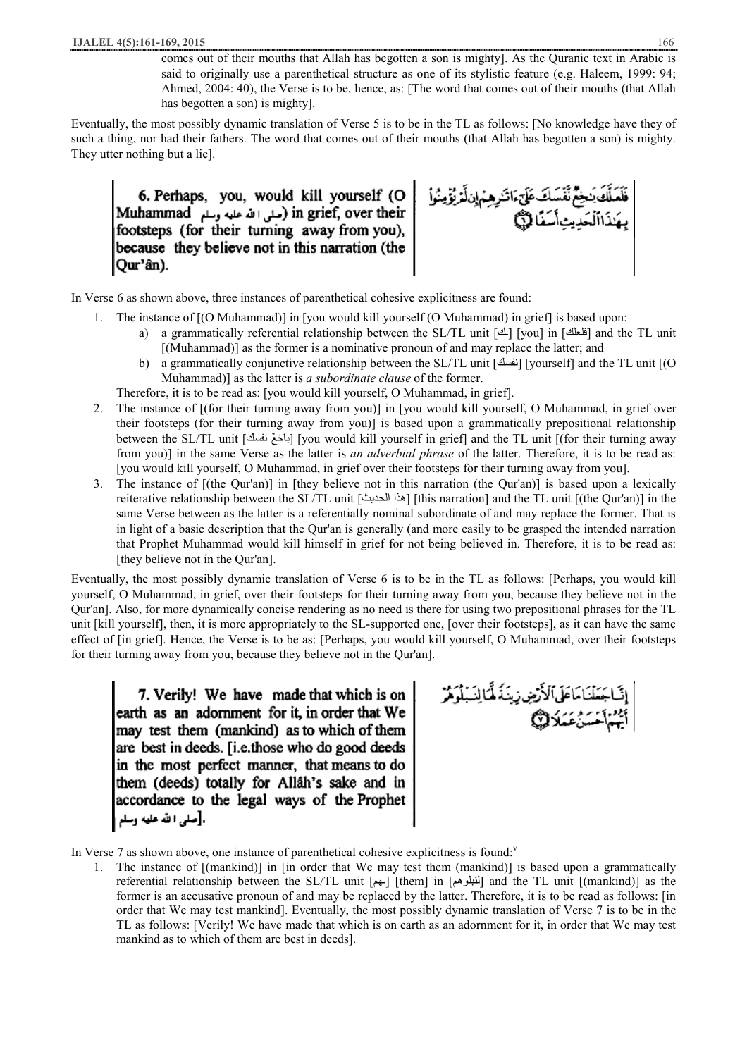comes out of their mouths that Allah has begotten a son is mighty]. As the Quranic text in Arabic is said to originally use a parenthetical structure as one of its stylistic feature (e.g. Haleem, 1999: 94; Ahmed, 2004: 40), the Verse is to be, hence, as: [The word that comes out of their mouths (that Allah has begotten a son) is mighty].

Eventually, the most possibly dynamic translation of Verse 5 is to be in the TL as follows: [No knowledge have they of such a thing, nor had their fathers. The word that comes out of their mouths (that Allah has begotten a son) is mighty. They utter nothing but a lie].

6. Perhaps, you, would kill yourself (O Muhammad (صلى الله عليه وسلم) in grief, over their footsteps (for their turning away from you), because they believe not in this narration (the |Qur'ân).



In Verse 6 as shown above, three instances of parenthetical cohesive explicitness are found:

- 1. The instance of [(O Muhammad)] in [you would kill yourself (O Muhammad) in grief] is based upon:
	- a) a grammatically referential relationship between the SL/TL unit [ $\Delta$ ] [you] in [فلعلك] and the TL unit [(Muhammad)] as the former is a nominative pronoun of and may replace the latter; and
	- b) a grammatically conjunctive relationship between the SL/TL unit [نفسك] [yourself] and the TL unit [(O Muhammad)] as the latter is *a subordinate clause* of the former.
	- Therefore, it is to be read as: [you would kill yourself, O Muhammad, in grief].
- 2. The instance of [(for their turning away from you)] in [you would kill yourself, O Muhammad, in grief over their footsteps (for their turning away from you)] is based upon a grammatically prepositional relationship between the SL/TL unit [ناخعٌ نفسك] [you would kill yourself in grief] and the TL unit [(for their turning away from you)] in the same Verse as the latter is *an adverbial phrase* of the latter. Therefore, it is to be read as: [you would kill yourself, O Muhammad, in grief over their footsteps for their turning away from you].
- 3. The instance of [(the Qur'an)] in [they believe not in this narration (the Qur'an)] is based upon a lexically reiterative relationship between the SL/TL unit [ $\epsilon$ ة الحديث] [this narration] and the TL unit [(the Qur'an)] in the same Verse between as the latter is a referentially nominal subordinate of and may replace the former. That is in light of a basic description that the Qur'an is generally (and more easily to be grasped the intended narration that Prophet Muhammad would kill himself in grief for not being believed in. Therefore, it is to be read as: [they believe not in the Qur'an].

Eventually, the most possibly dynamic translation of Verse 6 is to be in the TL as follows: [Perhaps, you would kill yourself, O Muhammad, in grief, over their footsteps for their turning away from you, because they believe not in the Qur'an]. Also, for more dynamically concise rendering as no need is there for using two prepositional phrases for the TL unit [kill yourself], then, it is more appropriately to the SL-supported one, [over their footsteps], as it can have the same effect of [in grief]. Hence, the Verse is to be as: [Perhaps, you would kill yourself, O Muhammad, over their footsteps for their turning away from you, because they believe not in the Qur'an].

7. Verily! We have made that which is on earth as an adornment for it, in order that We may test them (mankind) as to which of them are best in deeds. [i.e.those who do good deeds in the most perfect manner, that means to do them (deeds) totally for Allâh's sake and in accordance to the legal ways of the Prophet .[صلى الله عليه وسلم

ٳڹٙٛٵڿۜڡؘڶڹؘٵٵؘڟؘٲڶٲڗۻۣۯٟۑؽؘڐؘۘۿؖٲڶۣؽؘؠڷۄۜۿڒ<br>ٲۘؿؙۣۺٛٲڂۺۮؙۼؘڡؘڶٳڷڴۣڲ

In Verse 7 as shown above, one instance of parenthetical cohesive explicitness is found:

1. The instance of [(mankind)] in [in order that We may test them (mankind)] is based upon a grammatically referential relationship between the SL/TL unit  $[\underset{k+1}{\longleftrightarrow}$  [them] in  $[\underset{k+1}{\longleftrightarrow}$  and the TL unit [(mankind)] as the former is an accusative pronoun of and may be replaced by the latter. Therefore, it is to be read as follows: [in order that We may test mankind]. Eventually, the most possibly dynamic translation of Verse 7 is to be in the TL as follows: [Verily! We have made that which is on earth as an adornment for it, in order that We may test mankind as to which of them are best in deeds].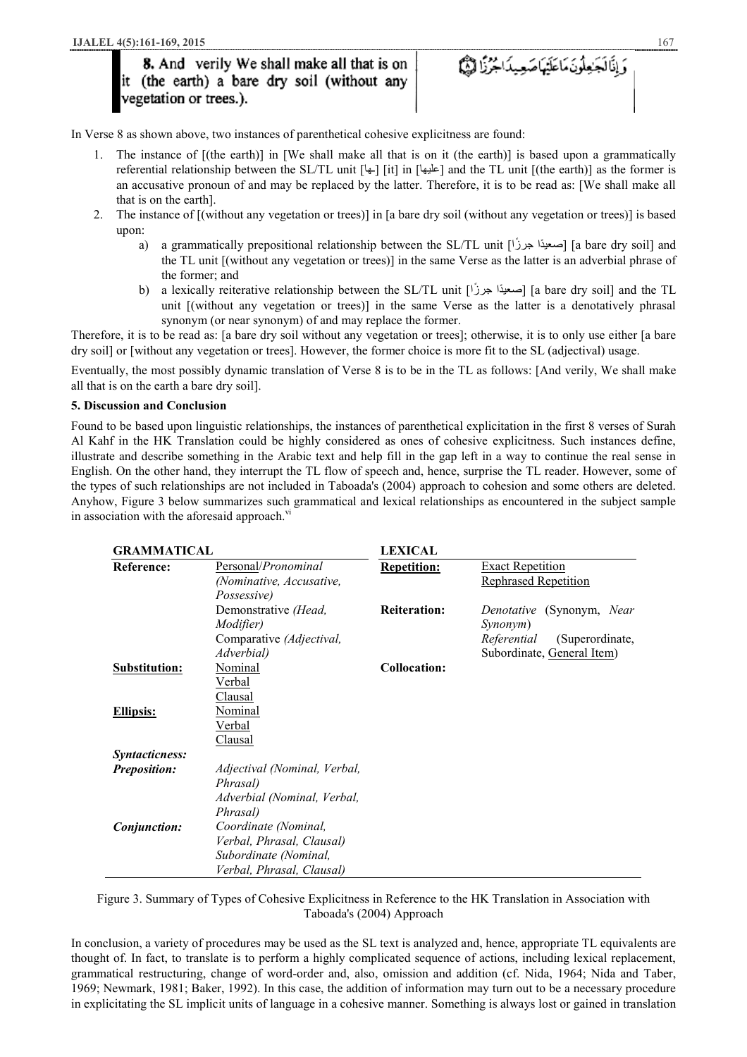8. And verily We shall make all that is on<br>it (the earth) a bare dry soil (without any<br>vegetation or trees.).

وَإِذَالَجَاهِلُونَ مَاعَلَيْهَاصَعِيدَاجُرُزًا لَيْهَمَّ

In Verse 8 as shown above, two instances of parenthetical cohesive explicitness are found:

- 1. The instance of [(the earth)] in [We shall make all that is on it (the earth)] is based upon a grammatically referential relationship between the SL/TL unit  $[\frac{1}{2}]$  it] in  $[\frac{1}{2}]$  and the TL unit  $[(\frac{1}{2})]$  as the former is an accusative pronoun of and may be replaced by the latter. Therefore, it is to be read as: [We shall make all that is on the earth].
- 2. The instance of [(without any vegetation or trees)] in [a bare dry soil (without any vegetation or trees)] is based upon:
	- a) a grammatically prepositional relationship between the SL/TL unit [حديدًا] [a bare dry soil] and the TL unit [(without any vegetation or trees)] in the same Verse as the latter is an adverbial phrase of the former; and
	- b) a lexically reiterative relationship between the SL/TL unit [حديثاً = [a bare dry soil] and the TL unit [(without any vegetation or trees)] in the same Verse as the latter is a denotatively phrasal synonym (or near synonym) of and may replace the former.

Therefore, it is to be read as: [a bare dry soil without any vegetation or trees]; otherwise, it is to only use either [a bare dry soil] or [without any vegetation or trees]. However, the former choice is more fit to the SL (adjectival) usage.

Eventually, the most possibly dynamic translation of Verse 8 is to be in the TL as follows: [And verily, We shall make all that is on the earth a bare dry soil].

# **5. Discussion and Conclusion**

Found to be based upon linguistic relationships, the instances of parenthetical explicitation in the first 8 verses of Surah Al Kahf in the HK Translation could be highly considered as ones of cohesive explicitness. Such instances define, illustrate and describe something in the Arabic text and help fill in the gap left in a way to continue the real sense in English. On the other hand, they interrupt the TL flow of speech and, hence, surprise the TL reader. However, some of the types of such relationships are not included in Taboada's (2004) approach to cohesion and some others are deleted. Anyhow, Figure 3 below summarizes such grammatical and lexical relationships as encountered in the subject sample in association with the aforesaid approach. $\overline{v}$ 

| <b>GRAMMATICAL</b>    |                                                                                                         | <b>LEXICAL</b>      |                                                                                                       |  |
|-----------------------|---------------------------------------------------------------------------------------------------------|---------------------|-------------------------------------------------------------------------------------------------------|--|
| <b>Reference:</b>     | Personal/ <i>Pronominal</i><br>(Nominative, Accusative,<br>Possessive)                                  | <b>Repetition:</b>  | <b>Exact Repetition</b><br>Rephrased Repetition                                                       |  |
|                       | Demonstrative (Head,<br><i>Modifier</i> )<br>Comparative (Adjectival,<br>Adverbial)                     | <b>Reiteration:</b> | Denotative (Synonym, Near<br>Synonym)<br>Referential<br>(Superordinate,<br>Subordinate, General Item) |  |
| <b>Substitution:</b>  | Nominal<br>Verbal<br>Clausal                                                                            | <b>Collocation:</b> |                                                                                                       |  |
| <b>Ellipsis:</b>      | Nominal<br>Verbal<br>Clausal                                                                            |                     |                                                                                                       |  |
| <i>Syntacticness:</i> |                                                                                                         |                     |                                                                                                       |  |
| <b>Preposition:</b>   | Adjectival (Nominal, Verbal,<br>Phrasal)<br>Adverbial (Nominal, Verbal,<br>Phrasal)                     |                     |                                                                                                       |  |
| Conjunction:          | Coordinate (Nominal,<br>Verbal, Phrasal, Clausal)<br>Subordinate (Nominal,<br>Verbal, Phrasal, Clausal) |                     |                                                                                                       |  |

Figure 3. Summary of Types of Cohesive Explicitness in Reference to the HK Translation in Association with Taboada's (2004) Approach

In conclusion, a variety of procedures may be used as the SL text is analyzed and, hence, appropriate TL equivalents are thought of. In fact, to translate is to perform a highly complicated sequence of actions, including lexical replacement, grammatical restructuring, change of word-order and, also, omission and addition (cf. Nida, 1964; Nida and Taber, 1969; Newmark, 1981; Baker, 1992). In this case, the addition of information may turn out to be a necessary procedure in explicitating the SL implicit units of language in a cohesive manner. Something is always lost or gained in translation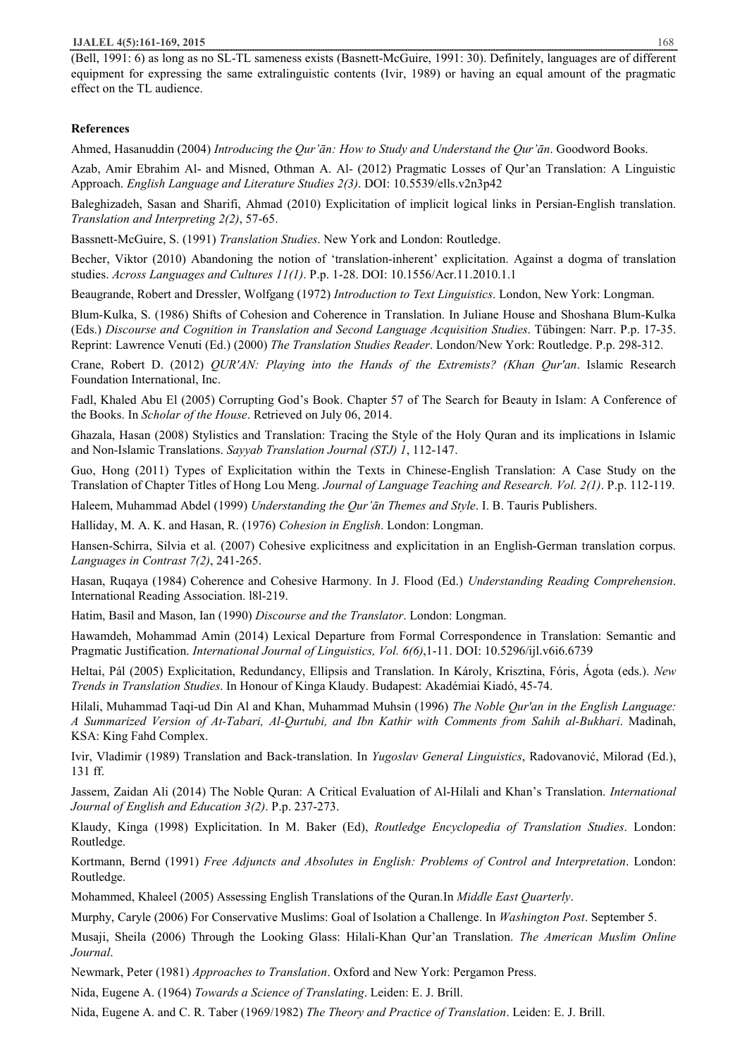#### **IJALEL 4(5):161-169, 2015** 168

(Bell, 1991: 6) as long as no SL-TL sameness exists (Basnett-McGuire, 1991: 30). Definitely, languages are of different equipment for expressing the same extralinguistic contents (Ivir, 1989) or having an equal amount of the pragmatic effect on the TL audience.

## **References**

Ahmed, Hasanuddin (2004) *Introducing the Qur'ān: How to Study and Understand the Qur'ān*. Goodword Books.

Azab, Amir Ebrahim Al- and Misned, Othman A. Al- (2012) Pragmatic Losses of Qur'an Translation: A Linguistic Approach. *English Language and Literature Studies 2(3)*. DOI: 10.5539/ells.v2n3p42

Baleghizadeh, Sasan and Sharifi, Ahmad (2010) Explicitation of implicit logical links in Persian-English translation. *Translation and Interpreting 2(2)*, 57-65.

Bassnett-McGuire, S. (1991) *Translation Studies*. New York and London: Routledge.

Becher, Viktor (2010) Abandoning the notion of 'translation-inherent' explicitation. Against a dogma of translation studies. *Across Languages and Cultures 11(1)*. P.p. 1-28. DOI: 10.1556/Acr.11.2010.1.1

Beaugrande, Robert and Dressler, Wolfgang (1972) *Introduction to Text Linguistics*. London, New York: Longman.

Blum-Kulka, S. (1986) Shifts of Cohesion and Coherence in Translation. In Juliane House and Shoshana Blum-Kulka (Eds.) *Discourse and Cognition in Translation and Second Language Acquisition Studies*. Tübingen: Narr. P.p. 17-35. Reprint: Lawrence Venuti (Ed.) (2000) *The Translation Studies Reader*. London/New York: Routledge. P.p. 298-312.

Crane, Robert D. (2012) *QUR'AN: Playing into the Hands of the Extremists? (Khan Qur'an*. Islamic Research Foundation International, Inc.

Fadl, Khaled Abu El (2005) Corrupting God's Book. Chapter 57 of The Search for Beauty in Islam: A Conference of the Books. In *Scholar of the House*. Retrieved on July 06, 2014.

Ghazala, Hasan (2008) Stylistics and Translation: Tracing the Style of the Holy Quran and its implications in Islamic and Non-Islamic Translations. *Sayyab Translation Journal (STJ) 1*, 112-147.

Guo, Hong (2011) Types of Explicitation within the Texts in Chinese-English Translation: A Case Study on the Translation of Chapter Titles of Hong Lou Meng. *Journal of Language Teaching and Research. Vol. 2(1)*. P.p. 112-119.

Haleem, Muhammad Abdel (1999) *Understanding the Qur'ān Themes and Style*. I. B. Tauris Publishers.

Halliday, M. A. K. and Hasan, R. (1976) *Cohesion in English*. London: Longman.

Hansen-Schirra, Silvia et al. (2007) Cohesive explicitness and explicitation in an English-German translation corpus. *Languages in Contrast 7(2)*, 241-265.

Hasan, Ruqaya (1984) Coherence and Cohesive Harmony. In J. Flood (Ed.) *Understanding Reading Comprehension*. International Reading Association. l8l-219.

Hatim, Basil and Mason, Ian (1990) *Discourse and the Translator*. London: Longman.

Hawamdeh, Mohammad Amin (2014) Lexical Departure from Formal Correspondence in Translation: Semantic and Pragmatic Justification. *International Journal of Linguistics, Vol. 6(6)*,1-11. DOI: 10.5296/ijl.v6i6.6739

Heltai, Pál (2005) Explicitation, Redundancy, Ellipsis and Translation. In Károly, Krisztina, Fóris, Ágota (eds.). *New Trends in Translation Studies*. In Honour of Kinga Klaudy. Budapest: Akadémiai Kiadó, 45-74.

Hilali, Muhammad Taqi-ud Din Al and Khan, Muhammad Muhsin (1996) *The Noble Qur'an in the English Language: A Summarized Version of At-Tabari, Al-Qurtubi, and Ibn Kathir with Comments from Sahih al-Bukhari*. Madinah, KSA: King Fahd Complex.

Ivir, Vladimir (1989) Translation and Back-translation. In *Yugoslav General Linguistics*, Radovanović, Milorad (Ed.), 131 ff.

Jassem, Zaidan Ali (2014) The Noble Quran: A Critical Evaluation of Al-Hilali and Khan's Translation. *International Journal of English and Education 3(2)*. P.p. 237-273.

Klaudy, Kinga (1998) Explicitation. In M. Baker (Ed), *Routledge Encyclopedia of Translation Studies*. London: Routledge.

Kortmann, Bernd (1991) *Free Adjuncts and Absolutes in English: Problems of Control and Interpretation*. London: Routledge.

Mohammed, Khaleel (2005) Assessing English Translations of the Quran.In *Middle East Quarterly*.

Murphy, Caryle (2006) For Conservative Muslims: Goal of Isolation a Challenge. In *Washington Post*. September 5.

Musaji, Sheila (2006) Through the Looking Glass: Hilali-Khan Qur'an Translation. *The American Muslim Online Journal*.

Newmark, Peter (1981) *Approaches to Translation*. Oxford and New York: Pergamon Press.

Nida, Eugene A. (1964) *Towards a Science of Translating*. Leiden: E. J. Brill.

Nida, Eugene A. and C. R. Taber (1969/1982) *The Theory and Practice of Translation*. Leiden: E. J. Brill.